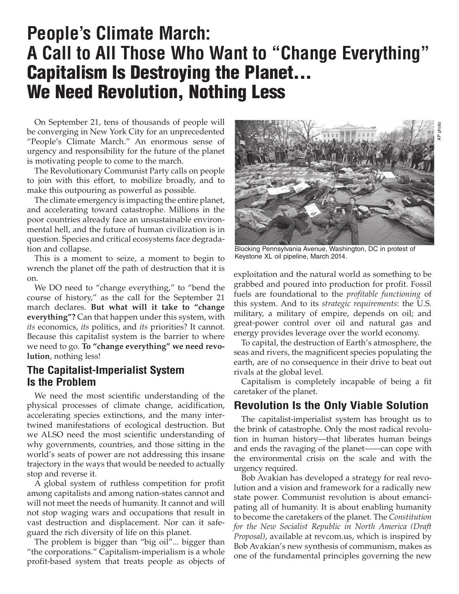# **People's Climate March: A Call to All Those Who Want to "Change Everything"** Capitalism Is Destroying the Planet... We Need Revolution, Nothing Less

On September 21, tens of thousands of people will be converging in New York City for an unprecedented "People's Climate March." An enormous sense of urgency and responsibility for the future of the planet is motivating people to come to the march.

The Revolutionary Communist Party calls on people to join with this effort, to mobilize broadly, and to make this outpouring as powerful as possible.

The climate emergency is impacting the entire planet, and accelerating toward catastrophe. Millions in the poor countries already face an unsustainable environmental hell, and the future of human civilization is in question. Species and critical ecosystems face degradation and collapse.

This is a moment to seize, a moment to begin to wrench the planet off the path of destruction that it is on.

We DO need to "change everything," to "bend the course of history," as the call for the September 21 march declares. **But what will it take to "change everything"?** Can that happen under this system, with *its* economics, *its* politics, and *its* priorities? It cannot. Because this capitalist system is the barrier to where we need to go. **To "change everything" we need revolution**, nothing less!

#### **The Capitalist-Imperialist System Is the Problem**

We need the most scientific understanding of the physical processes of climate change, acidification, accelerating species extinctions, and the many intertwined manifestations of ecological destruction. But we ALSO need the most scientific understanding of why governments, countries, and those sitting in the world's seats of power are not addressing this insane trajectory in the ways that would be needed to actually stop and reverse it.

A global system of ruthless competition for profit among capitalists and among nation-states cannot and will not meet the needs of humanity. It cannot and will not stop waging wars and occupations that result in vast destruction and displacement. Nor can it safeguard the rich diversity of life on this planet.

The problem is bigger than "big oil"... bigger than "the corporations." Capitalism-imperialism is a whole profit-based system that treats people as objects of



Blocking Pennsylvania Avenue, Washington, DC in protest of Keystone XL oil pipeline, March 2014.

exploitation and the natural world as something to be grabbed and poured into production for profit. Fossil fuels are foundational to the *profitable functioning* of this system. And to its *strategic requirements*: the U.S. military, a military of empire, depends on oil; and great-power control over oil and natural gas and energy provides leverage over the world economy.

To capital, the destruction of Earth's atmosphere, the seas and rivers, the magnificent species populating the earth, are of no consequence in their drive to beat out rivals at the global level.

Capitalism is completely incapable of being a fit caretaker of the planet.

## **Revolution Is the Only Viable Solution**

The capitalist-imperialist system has brought us to the brink of catastrophe. Only the most radical revolution in human history—that liberates human beings and ends the ravaging of the planet——can cope with the environmental crisis on the scale and with the urgency required.

Bob Avakian has developed a strategy for real revolution and a vision and framework for a radically new state power. Communist revolution is about emancipating all of humanity. It is about enabling humanity to become the caretakers of the planet. The *Constitution for the New Socialist Republic in North America (Draft Proposal)*, available at revcom.us, which is inspired by Bob Avakian's new synthesis of communism, makes as one of the fundamental principles governing the new